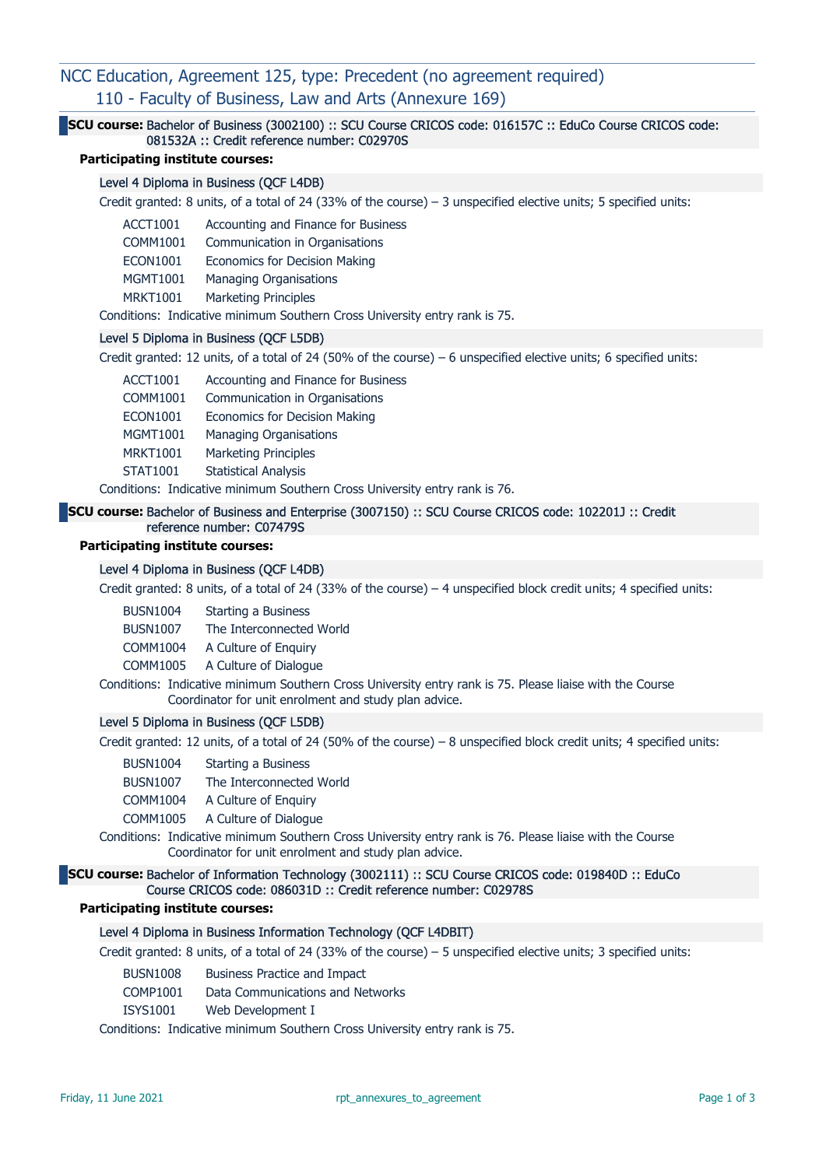# NCC Education, Agreement 125, type: Precedent (no agreement required) 110 - Faculty of Business, Law and Arts (Annexure 169)

# SCU course: Bachelor of Business (3002100) :: SCU Course CRICOS code: 016157C :: EduCo Course CRICOS code: 081532A :: Credit reference number: C02970S

## Participating institute courses:

#### Level 4 Diploma in Business (QCF L4DB)

Credit granted: 8 units, of a total of 24 (33% of the course) – 3 unspecified elective units; 5 specified units:

- ACCT1001 Accounting and Finance for Business
- COMM1001 Communication in Organisations
- ECON1001 Economics for Decision Making
- MGMT1001 Managing Organisations
- MRKT1001 Marketing Principles

Conditions: Indicative minimum Southern Cross University entry rank is 75.

#### Level 5 Diploma in Business (QCF L5DB)

Credit granted: 12 units, of a total of 24 (50% of the course) – 6 unspecified elective units; 6 specified units:

- ACCT1001 Accounting and Finance for Business
- COMM1001 Communication in Organisations
- ECON1001 Economics for Decision Making
- MGMT1001 Managing Organisations
- MRKT1001 Marketing Principles
- STAT1001 Statistical Analysis

Conditions: Indicative minimum Southern Cross University entry rank is 76.

#### SCU course: Bachelor of Business and Enterprise (3007150) :: SCU Course CRICOS code: 102201J :: Credit reference number: C07479S

## Participating institute courses:

### Level 4 Diploma in Business (QCF L4DB)

Credit granted: 8 units, of a total of 24 (33% of the course) – 4 unspecified block credit units; 4 specified units:

| <b>BUSN1004</b> | <b>Starting a Business</b> |
|-----------------|----------------------------|
| <b>BUSN1007</b> | The Interconnected World   |

COMM1004 A Culture of Enquiry

COMM1005 A Culture of Dialogue

Conditions: Indicative minimum Southern Cross University entry rank is 75. Please liaise with the Course Coordinator for unit enrolment and study plan advice.

#### Level 5 Diploma in Business (QCF L5DB)

Credit granted: 12 units, of a total of 24 (50% of the course) – 8 unspecified block credit units; 4 specified units:

BUSN1004 Starting a Business

BUSN1007 The Interconnected World

COMM1004 A Culture of Enquiry

COMM1005 A Culture of Dialogue

Conditions: Indicative minimum Southern Cross University entry rank is 76. Please liaise with the Course Coordinator for unit enrolment and study plan advice.

## SCU course: Bachelor of Information Technology (3002111) :: SCU Course CRICOS code: 019840D :: EduCo Course CRICOS code: 086031D :: Credit reference number: C02978S

#### Participating institute courses:

# Level 4 Diploma in Business Information Technology (QCF L4DBIT)

Credit granted: 8 units, of a total of 24 (33% of the course) – 5 unspecified elective units; 3 specified units:

- BUSN1008 Business Practice and Impact
- COMP1001 Data Communications and Networks
- ISYS1001 Web Development I

Conditions: Indicative minimum Southern Cross University entry rank is 75.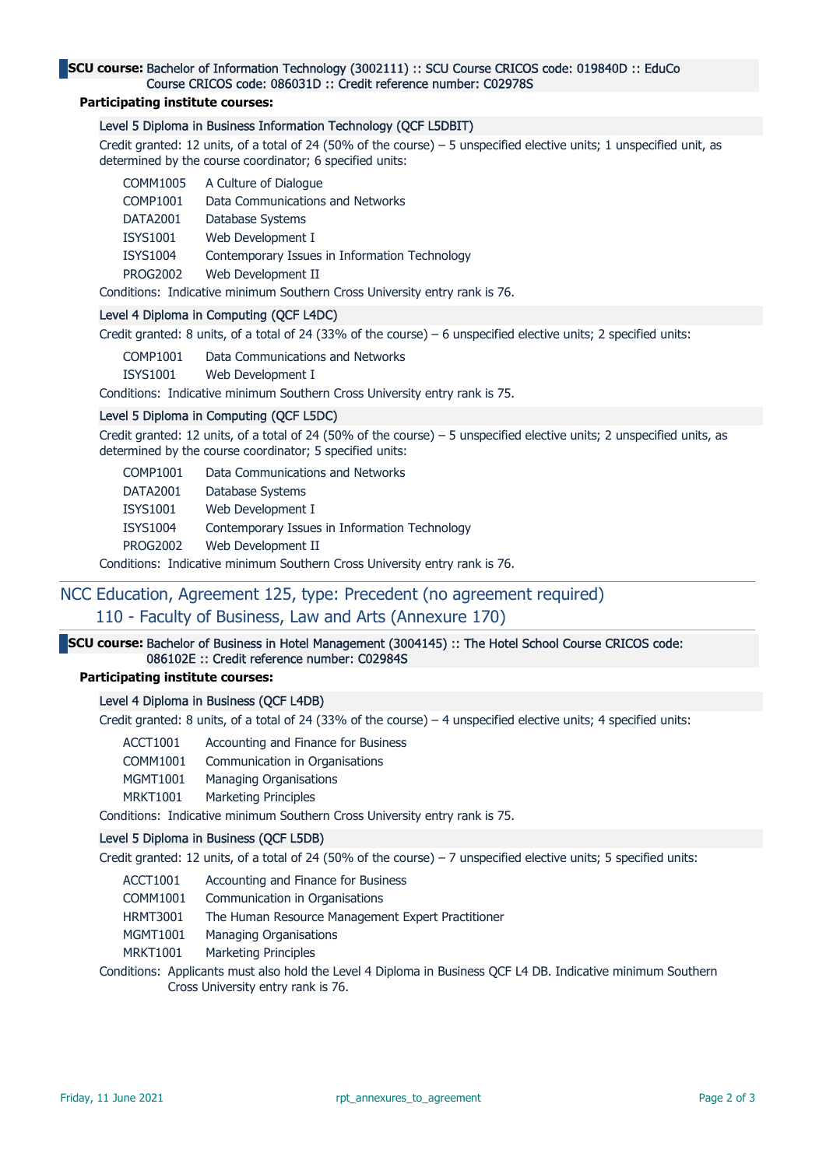### SCU course: Bachelor of Information Technology (3002111) :: SCU Course CRICOS code: 019840D :: EduCo Course CRICOS code: 086031D :: Credit reference number: C02978S

## Participating institute courses:

# Level 5 Diploma in Business Information Technology (QCF L5DBIT)

Credit granted: 12 units, of a total of 24 (50% of the course) – 5 unspecified elective units; 1 unspecified unit, as determined by the course coordinator; 6 specified units:

| COMM1005        | A Culture of Dialogue                         |
|-----------------|-----------------------------------------------|
| <b>COMP1001</b> | Data Communications and Networks              |
| DATA2001        | Database Systems                              |
| <b>ISYS1001</b> | Web Development I                             |
| <b>ISYS1004</b> | Contemporary Issues in Information Technology |
| <b>PROG2002</b> | Web Development II                            |
|                 |                                               |

Conditions: Indicative minimum Southern Cross University entry rank is 76.

### Level 4 Diploma in Computing (QCF L4DC)

Credit granted: 8 units, of a total of 24 (33% of the course) – 6 unspecified elective units; 2 specified units:

COMP1001 Data Communications and Networks

ISYS1001 Web Development I

Conditions: Indicative minimum Southern Cross University entry rank is 75.

## Level 5 Diploma in Computing (QCF L5DC)

Credit granted: 12 units, of a total of 24 (50% of the course) – 5 unspecified elective units; 2 unspecified units, as determined by the course coordinator; 5 specified units:

| Data Communications and Networks<br>COMP1001 |
|----------------------------------------------|
|----------------------------------------------|

DATA2001 Database Systems

ISYS1001 Web Development I

ISYS1004 Contemporary Issues in Information Technology

PROG2002 Web Development II

Conditions: Indicative minimum Southern Cross University entry rank is 76.

# NCC Education, Agreement 125, type: Precedent (no agreement required) 110 - Faculty of Business, Law and Arts (Annexure 170)

SCU course: Bachelor of Business in Hotel Management (3004145) :: The Hotel School Course CRICOS code: 086102E :: Credit reference number: C02984S

Participating institute courses:

#### Level 4 Diploma in Business (QCF L4DB)

Credit granted: 8 units, of a total of 24 (33% of the course) – 4 unspecified elective units; 4 specified units:

|  | ACCT1001 | Accounting and Finance for Business |  |  |
|--|----------|-------------------------------------|--|--|
|--|----------|-------------------------------------|--|--|

- COMM1001 Communication in Organisations
- MGMT1001 Managing Organisations
- MRKT1001 Marketing Principles

Conditions: Indicative minimum Southern Cross University entry rank is 75.

#### Level 5 Diploma in Business (QCF L5DB)

Credit granted: 12 units, of a total of 24 (50% of the course) – 7 unspecified elective units; 5 specified units:

- ACCT1001 Accounting and Finance for Business
- COMM1001 Communication in Organisations
- HRMT3001 The Human Resource Management Expert Practitioner
- MGMT1001 Managing Organisations
- MRKT1001 Marketing Principles

Conditions: Applicants must also hold the Level 4 Diploma in Business QCF L4 DB. Indicative minimum Southern Cross University entry rank is 76.